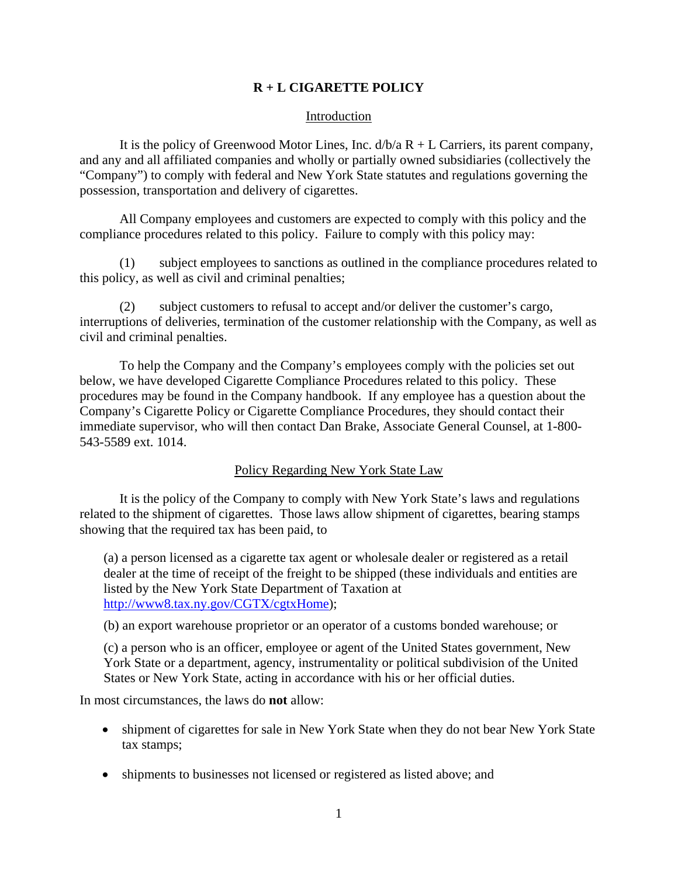## **R + L CIGARETTE POLICY**

## Introduction

It is the policy of Greenwood Motor Lines, Inc.  $d/b/a R + L$  Carriers, its parent company, and any and all affiliated companies and wholly or partially owned subsidiaries (collectively the "Company") to comply with federal and New York State statutes and regulations governing the possession, transportation and delivery of cigarettes.

 All Company employees and customers are expected to comply with this policy and the compliance procedures related to this policy. Failure to comply with this policy may:

(1) subject employees to sanctions as outlined in the compliance procedures related to this policy, as well as civil and criminal penalties;

(2) subject customers to refusal to accept and/or deliver the customer's cargo, interruptions of deliveries, termination of the customer relationship with the Company, as well as civil and criminal penalties.

To help the Company and the Company's employees comply with the policies set out below, we have developed Cigarette Compliance Procedures related to this policy. These procedures may be found in the Company handbook. If any employee has a question about the Company's Cigarette Policy or Cigarette Compliance Procedures, they should contact their immediate supervisor, who will then contact Dan Brake, Associate General Counsel, at 1-800- 543-5589 ext. 1014.

## Policy Regarding New York State Law

 It is the policy of the Company to comply with New York State's laws and regulations related to the shipment of cigarettes. Those laws allow shipment of cigarettes, bearing stamps showing that the required tax has been paid, to

(a) a person licensed as a cigarette tax agent or wholesale dealer or registered as a retail dealer at the time of receipt of the freight to be shipped (these individuals and entities are listed by the New York State Department of Taxation at http://www8.tax.ny.gov/CGTX/cgtxHome);

(b) an export warehouse proprietor or an operator of a customs bonded warehouse; or

(c) a person who is an officer, employee or agent of the United States government, New York State or a department, agency, instrumentality or political subdivision of the United States or New York State, acting in accordance with his or her official duties.

In most circumstances, the laws do **not** allow:

- shipment of cigarettes for sale in New York State when they do not bear New York State tax stamps;
- shipments to businesses not licensed or registered as listed above; and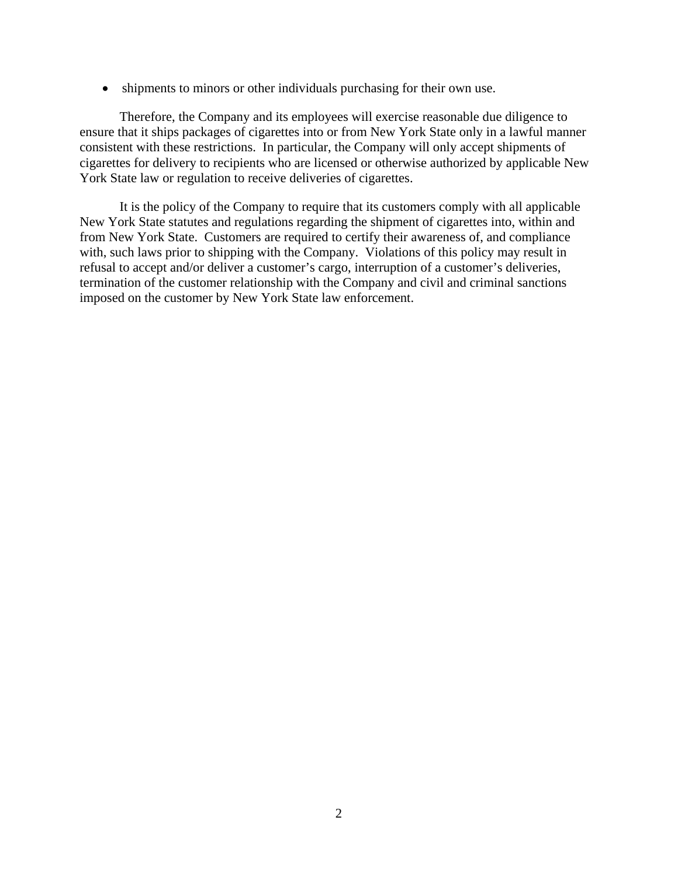• shipments to minors or other individuals purchasing for their own use.

Therefore, the Company and its employees will exercise reasonable due diligence to ensure that it ships packages of cigarettes into or from New York State only in a lawful manner consistent with these restrictions. In particular, the Company will only accept shipments of cigarettes for delivery to recipients who are licensed or otherwise authorized by applicable New York State law or regulation to receive deliveries of cigarettes.

It is the policy of the Company to require that its customers comply with all applicable New York State statutes and regulations regarding the shipment of cigarettes into, within and from New York State. Customers are required to certify their awareness of, and compliance with, such laws prior to shipping with the Company. Violations of this policy may result in refusal to accept and/or deliver a customer's cargo, interruption of a customer's deliveries, termination of the customer relationship with the Company and civil and criminal sanctions imposed on the customer by New York State law enforcement.